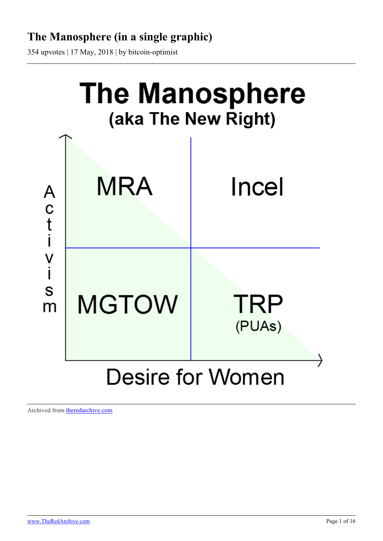# **The Manosphere (in a single graphic)**

354 upvotes | 17 May, 2018 | by bitcoin-optimist



Archived from [theredarchive.com](https://theredarchive.com/r/MGTOW/the-manosphere-in-a-single-graphic.555775)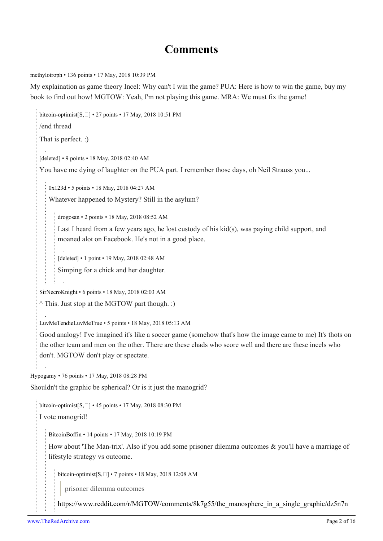## **Comments**

[methylotroph](https://old.reddit.com/user/methylotroph) • 136 points • 17 May, 2018 10:39 PM

My explaination as game theory Incel: Why can't I win the game? PUA: Here is how to win the game, buy my book to find out how! MGTOW: Yeah, I'm not playing this game. MRA: We must fix the game!

[bitcoin-optimist](https://old.reddit.com/user/bitcoin-optimist)[\[S,](https://theredarchive.com/r/MGTOW/comments/8k7g55/the_manosphere_in_a_single_graphic/) [] • 27 points • 17 May, 2018 10:51 PM /end thread That is perfect. :) [deleted] • 9 points • 18 May, 2018 02:40 AM You have me dying of laughter on the PUA part. I remember those days, oh Neil Strauss you... [0x123d](https://old.reddit.com/user/0x123d) • 5 points • 18 May, 2018 04:27 AM Whatever happened to Mystery? Still in the asylum? [drogosan](https://old.reddit.com/user/drogosan) • 2 points • 18 May, 2018 08:52 AM Last I heard from a few years ago, he lost custody of his kid(s), was paying child support, and moaned alot on Facebook. He's not in a good place. [deleted] • 1 point • 19 May, 2018 02:48 AM Simping for a chick and her daughter. [SirNecroKnight](https://old.reddit.com/user/SirNecroKnight) • 6 points • 18 May, 2018 02:03 AM  $\land$  This. Just stop at the MGTOW part though. :) [LuvMeTendieLuvMeTrue](https://old.reddit.com/user/LuvMeTendieLuvMeTrue) • 5 points • 18 May, 2018 05:13 AM Good analogy! I've imagined it's like a soccer game (somehow that's how the image came to me) It's thots on the other team and men on the other. There are these chads who score well and there are these incels who don't. MGTOW don't play or spectate.

[Hypogamy](https://old.reddit.com/user/Hypogamy) • 76 points • 17 May, 2018 08:28 PM

Shouldn't the graphic be spherical? Or is it just the manogrid?

[bitcoin-optimist](https://old.reddit.com/user/bitcoin-optimist) $[S, \Box] \cdot 45$  $[S, \Box] \cdot 45$  points  $\cdot 17$  May, 2018 08:30 PM

I vote manogrid!

[BitcoinBoffin](https://old.reddit.com/user/BitcoinBoffin) • 14 points • 17 May, 2018 10:19 PM

How about 'The Man-trix'. Also if you add some prisoner dilemma outcomes & you'll have a marriage of lifestyle strategy vs outcome.

bitcoin-optimist $[S, \Box] \cdot 7$  $[S, \Box] \cdot 7$  $[S, \Box] \cdot 7$  points  $\cdot 18$  May, 2018 12:08 AM

prisoner dilemma outcomes

[https://www.reddit.com/r/MGTOW/comments/8k7g55/the\\_manosphere\\_in\\_a\\_single\\_graphic/dz5n7n](https://www.reddit.com/r/MGTOW/comments/8k7g55/the_manosphere_in_a_single_graphic/dz5n7n1/)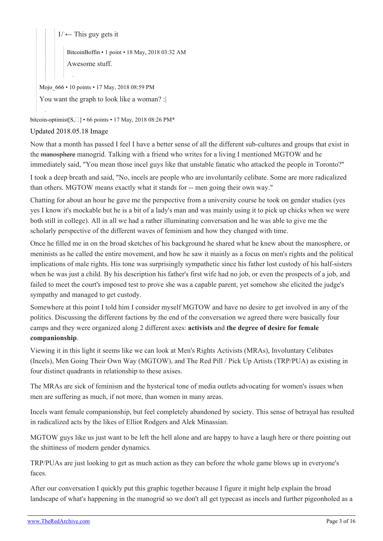$1/ \leftarrow$  $1/ \leftarrow$  This guy gets it

[BitcoinBoffin](https://old.reddit.com/user/BitcoinBoffin) • 1 point • 18 May, 2018 03:32 AM Awesome stuff.

Mojo  $666 \cdot 10$  points  $\cdot$  17 May, 2018 08:59 PM You want the graph to look like a woman? :

[bitcoin-optimist](https://old.reddit.com/user/bitcoin-optimist)[\[S](https://theredarchive.com/r/MGTOW/comments/8k7g55/the_manosphere_in_a_single_graphic/),  $\square$ [\]](https://theredarchive.com/user/bitcoin-optimist) • 66 points • 17 May, 2018 08:26 PM\*

#### [Updated 2018.05.18 Image](https://i.imgur.com/7yXAbDm.png)

Now that a month has passed I feel I have a better sense of all the different sub-cultures and groups that exist in the manosphere manogrid. Talking with a friend who writes for a living I mentioned MGTOW and he immediately said, "You mean those incel guys like that unstable fanatic who attacked the people in Toronto?"

I took a deep breath and said, "No, incels are people who are involuntarily celibate. Some are more radicalized than others. MGTOW means exactly what it stands for -- men going their own way."

Chatting for about an hour he gave me the perspective from a university course he took on gender studies (yes yes I know it's mockable but he is a bit of a lady's man and was mainly using it to pick up chicks when we were both still in college). All in all we had a rather illuminating conversation and he was able to give me the scholarly perspective of the different waves of feminism and how they changed with time.

Once he filled me in on the broad sketches of his background he shared what he knew about the manosphere, or meninists as he called the entire movement, and how he saw it mainly as a focus on men's rights and the political implications of male rights. His tone was surprisingly sympathetic since his father lost custody of his half-sisters when he was just a child. By his description his father's first wife had no job, or even the prospects of a job, and failed to meet the court's imposed test to prove she was a capable parent, yet somehow she elicited the judge's sympathy and managed to get custody.

Somewhere at this point I told him I consider myself MGTOW and have no desire to get involved in any of the politics. Discussing the different factions by the end of the conversation we agreed there were basically four camps and they were organized along 2 different axes: **activists** and **the degree of desire for female companionship**.

Viewing it in this light it seems like we can look at Men's Rights Activists (MRAs), Involuntary Celibates (Incels), Men Going Their Own Way (MGTOW), and The Red Pill / Pick Up Artists (TRP/PUA) as existing in four distinct quadrants in relationship to these axises.

The MRAs are sick of feminism and the hysterical tone of media outlets advocating for women's issues when men are suffering as much, if not more, than women in many areas.

Incels want female companionship, but feel completely abandoned by society. This sense of betrayal has resulted in radicalized acts by the likes of Elliot Rodgers and Alek Minassian.

MGTOW guys like us just want to be left the hell alone and are happy to have a laugh here or there pointing out the shittiness of modern gender dynamics.

TRP/PUAs are just looking to get as much action as they can before the whole game blows up in everyone's faces.

After our conversation I quickly put this graphic together because I figure it might help explain the broad landscape of what's happening in the manogrid so we don't all get typecast as incels and further pigeonholed as a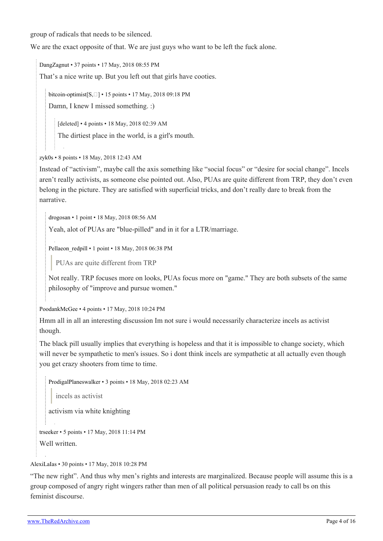group of radicals that needs to be silenced.

We are the exact opposite of that. We are just guys who want to be left the fuck alone.

[DangZagnut](https://old.reddit.com/user/DangZagnut) • 37 points • 17 May, 2018 08:55 PM

That's a nice write up. But you left out that girls have cooties.

bitcoin-optimist $[S, \Box] \cdot 15$  $[S, \Box] \cdot 15$  $[S, \Box] \cdot 15$  points  $\cdot 17$  May, 2018 09:18 PM

Damn, I knew I missed something. :)

[deleted] • 4 points • 18 May, 2018 02:39 AM

The dirtiest place in the world, is a girl's mouth.

[zyk0s](https://old.reddit.com/user/zyk0s) • 8 points • 18 May, 2018 12:43 AM

Instead of "activism", maybe call the axis something like "social focus" or "desire for social change". Incels aren't really activists, as someone else pointed out. Also, PUAs are quite different from TRP, they don't even belong in the picture. They are satisfied with superficial tricks, and don't really dare to break from the narrative.

[drogosan](https://old.reddit.com/user/drogosan) • 1 point • 18 May, 2018 08:56 AM

Yeah, alot of PUAs are "blue-pilled" and in it for a LTR/marriage.

Pellaeon redpill • 1 point • 18 May, 2018 06:38 PM

PUAs are quite different from TRP

Not really. TRP focuses more on looks, PUAs focus more on "game." They are both subsets of the same philosophy of "improve and pursue women."

[PoodankMcGee](https://old.reddit.com/user/PoodankMcGee) • 4 points • 17 May, 2018 10:24 PM

Hmm all in all an interesting discussion Im not sure i would necessarily characterize incels as activist though.

The black pill usually implies that everything is hopeless and that it is impossible to change society, which will never be sympathetic to men's issues. So i dont think incels are sympathetic at all actually even though you get crazy shooters from time to time.

[ProdigalPlaneswalker](https://old.reddit.com/user/ProdigalPlaneswalker) • 3 points • 18 May, 2018 02:23 AM

incels as activist

activism via white knighting

[trseeker](https://old.reddit.com/user/trseeker) • 5 points • 17 May, 2018 11:14 PM

Well written.

[AlexiLaIas](https://old.reddit.com/user/AlexiLaIas) • 30 points • 17 May, 2018 10:28 PM

"The new right". And thus why men's rights and interests are marginalized. Because people will assume this is a group composed of angry right wingers rather than men of all political persuasion ready to call bs on this feminist discourse.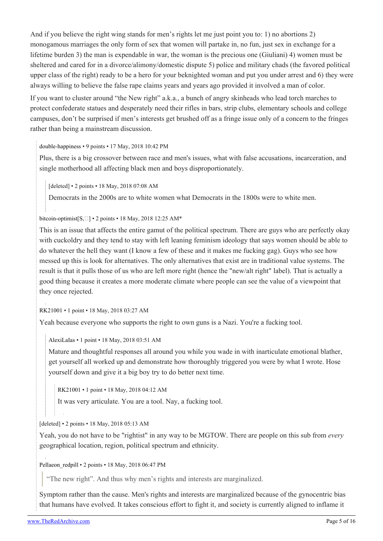And if you believe the right wing stands for men's rights let me just point you to: 1) no abortions 2) monogamous marriages the only form of sex that women will partake in, no fun, just sex in exchange for a lifetime burden 3) the man is expendable in war, the woman is the precious one (Giuliani) 4) women must be sheltered and cared for in a divorce/alimony/domestic dispute 5) police and military chads (the favored political upper class of the right) ready to be a hero for your beknighted woman and put you under arrest and 6) they were always willing to believe the false rape claims years and years ago provided it involved a man of color.

If you want to cluster around "the New right" a.k.a., a bunch of angry skinheads who lead torch marches to protect confederate statues and desperately need their rifles in bars, strip clubs, elementary schools and college campuses, don't be surprised if men's interests get brushed off as a fringe issue only of a concern to the fringes rather than being a mainstream discussion.

[double-happiness](https://old.reddit.com/user/double-happiness) • 9 points • 17 May, 2018 10:42 PM

Plus, there is a big crossover between race and men's issues, what with false accusations, incarceration, and single motherhood all affecting black men and boys disproportionately.

[deleted] • 2 points • 18 May, 2018 07:08 AM

Democrats in the 2000s are to white women what Democrats in the 1800s were to white men.

[bitcoin-optimist](https://old.reddit.com/user/bitcoin-optimist)[\[S,](https://theredarchive.com/r/MGTOW/comments/8k7g55/the_manosphere_in_a_single_graphic/)  $\square$ ] • 2 points • 18 May, 2018 12:25 AM\*

This is an issue that affects the entire gamut of the political spectrum. There are guys who are perfectly okay with cuckoldry and they tend to stay with left leaning feminism ideology that says women should be able to do whatever the hell they want (I know a few of these and it makes me fucking gag). Guys who see how messed up this is look for alternatives. The only alternatives that exist are in traditional value systems. The result is that it pulls those of us who are left more right (hence the "new/alt right" label). That is actually a good thing because it creates a more moderate climate where people can see the value of a viewpoint that they once rejected.

[RK21001](https://old.reddit.com/user/RK21001) • 1 point • 18 May, 2018 03:27 AM

Yeah because everyone who supports the right to own guns is a Nazi. You're a fucking tool.

[AlexiLaIas](https://old.reddit.com/user/AlexiLaIas) • 1 point • 18 May, 2018 03:51 AM

Mature and thoughtful responses all around you while you wade in with inarticulate emotional blather, get yourself all worked up and demonstrate how thoroughly triggered you were by what I wrote. Hose yourself down and give it a big boy try to do better next time.

[RK21001](https://old.reddit.com/user/RK21001) • 1 point • 18 May, 2018 04:12 AM

It was very articulate. You are a tool. Nay, a fucking tool.

[deleted] • 2 points • 18 May, 2018 05:13 AM

Yeah, you do not have to be "rightist" in any way to be MGTOW. There are people on this sub from *every* geographical location, region, political spectrum and ethnicity.

[Pellaeon\\_redpill](https://old.reddit.com/user/Pellaeon_redpill) • 2 points • 18 May, 2018 06:47 PM

"The new right". And thus why men's rights and interests are marginalized.

Symptom rather than the cause. Men's rights and interests are marginalized because of the gynocentric bias that humans have evolved. It takes conscious effort to fight it, and society is currently aligned to inflame it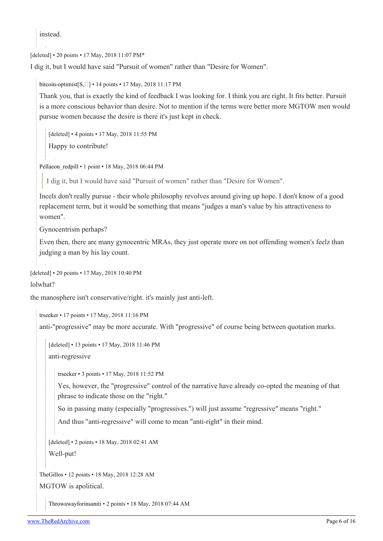instead.

[deleted] • 20 points • 17 May, 2018 11:07 PM\*

I dig it, but I would have said "Pursuit of women" rather than "Desire for Women".

[bitcoin-optimist](https://old.reddit.com/user/bitcoin-optimist) $[S, \Box] \cdot 14$  $[S, \Box] \cdot 14$  points  $\cdot 17$  May, 2018 11:17 PM

Thank you, that is exactly the kind of feedback I was looking for. I think you are right. It fits better. Pursuit is a more conscious behavior than desire. Not to mention if the terms were better more MGTOW men would pursue women because the desire is there it's just kept in check.

[deleted] • 4 points • 17 May, 2018 11:55 PM

Happy to contribute!

[Pellaeon\\_redpill](https://old.reddit.com/user/Pellaeon_redpill) • 1 point • 18 May, 2018 06:44 PM

I dig it, but I would have said "Pursuit of women" rather than "Desire for Women".

Incels don't really pursue - their whole philosophy revolves around giving up hope. I don't know of a good replacement term, but it would be something that means "judges a man's value by his attractiveness to women".

Gynocentrism perhaps?

Even then, there are many gynocentric MRAs, they just operate more on not offending women's feelz than judging a man by his lay count.

[deleted] • 20 points • 17 May, 2018 10:40 PM

lolwhat?

the manosphere isn't conservative/right. it's mainly just anti-left.

[trseeker](https://old.reddit.com/user/trseeker) • 17 points • 17 May, 2018 11:16 PM

anti-"progressive" may be more accurate. With "progressive" of course being between quotation marks.

```
[deleted] • 13 points • 17 May, 2018 11:46 PM
anti-regressive
```
[trseeker](https://old.reddit.com/user/trseeker) • 3 points • 17 May, 2018 11:52 PM

Yes, however, the "progressive" control of the narrative have already co-opted the meaning of that phrase to indicate those on the "right."

So in passing many (especially "progressives.") will just assume "regressive" means "right."

And thus "anti-regressive" will come to mean "anti-right" in their mind.

[deleted] • 2 points • 18 May, 2018 02:41 AM

Well-put!

[TheGillos](https://old.reddit.com/user/TheGillos) • 12 points • 18 May, 2018 12:28 AM

MGTOW is apolitical.

[Throwawayforinsaniti](https://old.reddit.com/user/Throwawayforinsaniti) • 2 points • 18 May, 2018 07:44 AM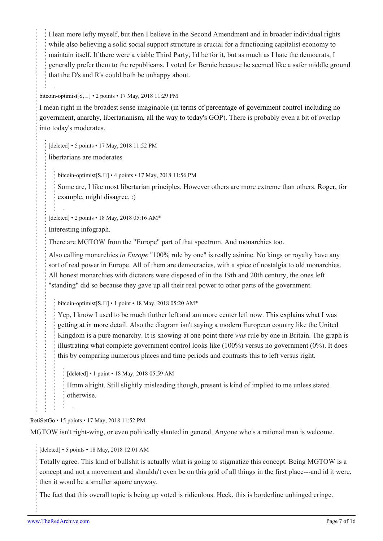I lean more lefty myself, but then I believe in the Second Amendment and in broader individual rights while also believing a solid social support structure is crucial for a functioning capitalist economy to maintain itself. If there were a viable Third Party, I'd be for it, but as much as I hate the democrats, I generally prefer them to the republicans. I voted for Bernie because he seemed like a safer middle ground that the D's and R's could both be unhappy about.

[bitcoin-optimist](https://old.reddit.com/user/bitcoin-optimist) $[S, \Box] \cdot 2$  $[S, \Box] \cdot 2$  points  $\cdot 17$  May, 2018 11:29 PM

I mean right in the broadest sense imaginable [\(in terms of percentage of government control including no](https://i.imgur.com/HI3mg9G.jpg) [government, anarchy, libertarianism, all the way to today's GOP\)](https://i.imgur.com/HI3mg9G.jpg). There is probably even a bit of overlap into today's moderates.

[deleted] • 5 points • 17 May, 2018 11:52 PM libertarians are moderates

bitcoin-optimist $[S, \Box]$  $[S, \Box]$  $[S, \Box]$  • 4 points • 17 May, 2018 11:56 PM

Some are, I like most libertarian principles. However others are more extreme than others. [Roger, for](https://bitcoinmagazine.com/articles/interview-roger-ver-his-plans-start-new-libertarian-country/) [example, might disagree.](https://bitcoinmagazine.com/articles/interview-roger-ver-his-plans-start-new-libertarian-country/) :)

[deleted] • 2 points • 18 May, 2018 05:16 AM\*

Interesting infograph.

There are MGTOW from the "Europe" part of that spectrum. And monarchies too.

Also calling monarchies *in Europe* "100% rule by one" is really asinine. No kings or royalty have any sort of real power in Europe. All of them are democracies, with a spice of nostalgia to old monarchies. All honest monarchies with dictators were disposed of in the 19th and 20th century, the ones left "standing" did so because they gave up all their real power to other parts of the government.

[bitcoin-optimist\[](https://old.reddit.com/user/bitcoin-optimist)[S](https://theredarchive.com/r/MGTOW/comments/8k7g55/the_manosphere_in_a_single_graphic/), [] • 1 point • 18 May, 2018 05:20 AM\*

Yep, I know I used to be much further left and am more center left now. [This explains what I was](https://www.reddit.com/r/MGTOW/comments/8k7g55/the_manosphere_in_a_single_graphic/dz5j04l/#dz5j04l) [getting at in more detail.](https://www.reddit.com/r/MGTOW/comments/8k7g55/the_manosphere_in_a_single_graphic/dz5j04l/#dz5j04l) Also the diagram isn't saying a modern European country like the United Kingdom is a pure monarchy. It is showing at one point there *was* rule by one in Britain. The graph is illustrating what complete government control looks like (100%) versus no government (0%). It does this by comparing numerous places and time periods and contrasts this to left versus right.

[deleted] • 1 point • 18 May, 2018 05:59 AM

Hmm alright. Still slightly misleading though, present is kind of implied to me unless stated otherwise.

[RetiSetGo](https://old.reddit.com/user/RetiSetGo) • 15 points • 17 May, 2018 11:52 PM

MGTOW isn't right-wing, or even politically slanted in general. Anyone who's a rational man is welcome.

[deleted] • 5 points • 18 May, 2018 12:01 AM

Totally agree. This kind of bullshit is actually what is going to stigmatize this concept. Being MGTOW is a concept and not a movement and shouldn't even be on this grid of all things in the first place---and id it were, then it woud be a smaller square anyway.

The fact that this overall topic is being up voted is ridiculous. Heck, this is borderline unhinged cringe.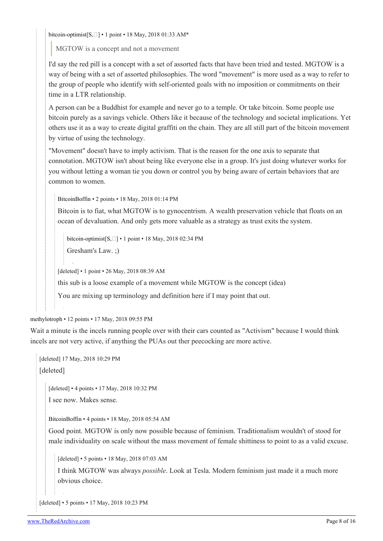bitcoin-optimist $[S, \Box] \cdot 1$  $[S, \Box] \cdot 1$  $[S, \Box] \cdot 1$  point  $\cdot 18$  May, 2018 01:33 AM\*

MGTOW is a concept and not a movement

I'd say the red pill is a concept with a set of assorted facts that have been tried and tested. MGTOW is a way of being with a set of assorted philosophies. The word "movement" is more used as a way to refer to the group of people who identify with self-oriented goals with no imposition or commitments on their time in a LTR relationship.

A person can be a Buddhist for example and never go to a temple. Or take bitcoin. Some people use bitcoin purely as a savings vehicle. Others like it because of the technology and societal implications. Yet others use it as a way to create digital graffiti on the chain. They are all still part of the bitcoin movement by virtue of using the technology.

"Movement" doesn't have to imply activism. That is the reason for the one axis to separate that connotation. MGTOW isn't about being like everyone else in a group. It's just doing whatever works for you without letting a woman tie you down or control you by being aware of certain behaviors that are common to women.

[BitcoinBoffin](https://old.reddit.com/user/BitcoinBoffin) • 2 points • 18 May, 2018 01:14 PM

Bitcoin is to fiat, what MGTOW is to gynocentrism. A wealth preservation vehicle that floats on an ocean of devaluation. And only gets more valuable as a strategy as trust exits the system.

[bitcoin-optimist](https://old.reddit.com/user/bitcoin-optimist) $[S, \Box] \cdot 1$  $[S, \Box] \cdot 1$  $[S, \Box] \cdot 1$  $[S, \Box] \cdot 1$  point  $\cdot 18$  May, 2018 02:34 PM

Gresham's Law. ;)

[deleted] • 1 point • 26 May, 2018 08:39 AM

this sub is a loose example of a movement while MGTOW is the concept (idea)

You are mixing up terminology and definition here if I may point that out.

[methylotroph](https://old.reddit.com/user/methylotroph) • 12 points • 17 May, 2018 09:55 PM

Wait a minute is the incels running people over with their cars counted as "Activism" because I would think incels are not very active, if anything the PUAs out ther peecocking are more active.

[deleted] 17 May, 2018 10:29 PM

[deleted]

[deleted] • 4 points • 17 May, 2018 10:32 PM

I see now. Makes sense.

[BitcoinBoffin](https://old.reddit.com/user/BitcoinBoffin) • 4 points • 18 May, 2018 05:54 AM

Good point. MGTOW is only now possible because of feminism. Traditionalism wouldn't of stood for male individuality on scale without the mass movement of female shittiness to point to as a valid excuse.

[deleted] • 5 points • 18 May, 2018 07:03 AM

I think MGTOW was always *possible*. Look at Tesla. Modern feminism just made it a much more obvious choice.

[deleted] • 5 points • 17 May, 2018 10:23 PM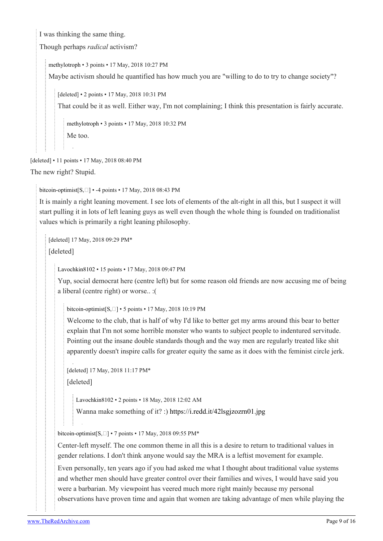I was thinking the same thing.

Though perhaps *radical* activism?

[methylotroph](https://old.reddit.com/user/methylotroph) • 3 points • 17 May, 2018 10:27 PM

Maybe activism should he quantified has how much you are "willing to do to try to change society"?

[deleted] • 2 points • 17 May, 2018 10:31 PM

That could be it as well. Either way, I'm not complaining; I think this presentation is fairly accurate.

[methylotroph](https://old.reddit.com/user/methylotroph) • 3 points • 17 May, 2018 10:32 PM Me too.

[deleted] • 11 points • 17 May, 2018 08:40 PM

The new right? Stupid.

[bitcoin-optimist](https://old.reddit.com/user/bitcoin-optimist) $[S, \Box]$  $[S, \Box]$  • -4 points • 17 May, 2018 08:43 PM

It is mainly a right leaning movement. I see lots of elements of the alt-right in all this, but I suspect it will start pulling it in lots of left leaning guys as well even though the whole thing is founded on traditionalist values which is primarily a right leaning philosophy.

[deleted] 17 May, 2018 09:29 PM\*

[deleted]

[Lavochkin8102](https://old.reddit.com/user/Lavochkin8102) • 15 points • 17 May, 2018 09:47 PM

Yup, social democrat here (centre left) but for some reason old friends are now accusing me of being a liberal (centre right) or worse.. :(

[bitcoin-optimist](https://old.reddit.com/user/bitcoin-optimist) $[S, \Box] \cdot 5$  $[S, \Box] \cdot 5$  $[S, \Box] \cdot 5$  $[S, \Box] \cdot 5$  points  $\cdot 17$  May, 2018 10:19 PM

Welcome to the club, that is half of why I'd like to better get my arms around this bear to better explain that I'm not some horrible monster who wants to subject people to indentured servitude. Pointing out the insane double standards though and the way men are regularly treated like shit apparently doesn't inspire calls for greater equity the same as it does with the feminist circle jerk.

[deleted] 17 May, 2018 11:17 PM\* [deleted]

[Lavochkin8102](https://old.reddit.com/user/Lavochkin8102) • 2 points • 18 May, 2018 12:02 AM

Wanna make something of it? :) <https://i.redd.it/42lsgjzozrn01.jpg>

bitcoin-optimist $[S, \Box] \cdot 7$  $[S, \Box] \cdot 7$  $[S, \Box] \cdot 7$  points  $\cdot 17$  May, 2018 09:55 PM\*

Center-left myself. The one common theme in all this is a desire to return to traditional values in gender relations. I don't think anyone would say the MRA is a leftist movement for example.

Even personally, ten years ago if you had asked me what I thought about traditional value systems and whether men should have greater control over their families and wives, I would have said you were a barbarian. My viewpoint has veered much more right mainly because my personal observations have proven time and again that women are taking advantage of men while playing the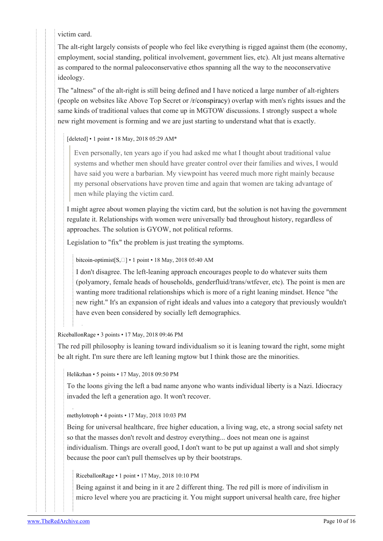victim card.

The alt-right largely consists of people who feel like everything is rigged against them (the economy, employment, social standing, political involvement, government lies, etc). Alt just means alternative as compared to the normal paleoconservative ethos spanning all the way to the neoconservative ideology.

The "altness" of the alt-right is still being defined and I have noticed a large number of alt-righters (people on websites like Above Top Secret or [/r/conspiracy\)](https://theredarchive.com/r/conspiracy) overlap with men's rights issues and the same kinds of traditional values that come up in MGTOW discussions. I strongly suspect a whole new right movement is forming and we are just starting to understand what that is exactly.

[deleted] • 1 point • 18 May, 2018 05:29 AM\*

Even personally, ten years ago if you had asked me what I thought about traditional value systems and whether men should have greater control over their families and wives, I would have said you were a barbarian. My viewpoint has veered much more right mainly because my personal observations have proven time and again that women are taking advantage of men while playing the victim card.

I might agree about women playing the victim card, but the solution is not having the government regulate it. Relationships with women were universally bad throughout history, regardless of approaches. The solution is GYOW, not political reforms.

Legislation to "fix" the problem is just treating the symptoms.

[bitcoin-optimist](https://old.reddit.com/user/bitcoin-optimist)[\[S,](https://theredarchive.com/r/MGTOW/comments/8k7g55/the_manosphere_in_a_single_graphic/)] • 1 point • 18 May, 2018 05:40 AM

I don't disagree. The left-leaning approach encourages people to do whatever suits them (polyamory, female heads of households, genderfluid/trans/wtfever, etc). The point is men are wanting more traditional relationships which is more of a right leaning mindset. Hence "the new right." It's an expansion of right ideals and values into a category that previously wouldn't have even been considered by socially left demographics.

[RiceballonRage](https://old.reddit.com/user/RiceballonRage) • 3 points • 17 May, 2018 09:46 PM

The red pill philosophy is leaning toward individualism so it is leaning toward the right, some might be alt right. I'm sure there are left leaning mgtow but I think those are the minorities.

[Helikzhan](https://old.reddit.com/user/Helikzhan) • 5 points • 17 May, 2018 09:50 PM

To the loons giving the left a bad name anyone who wants individual liberty is a Nazi. Idiocracy invaded the left a generation ago. It won't recover.

[methylotroph](https://old.reddit.com/user/methylotroph) • 4 points • 17 May, 2018 10:03 PM

Being for universal healthcare, free higher education, a living wag, etc, a strong social safety net so that the masses don't revolt and destroy everything... does not mean one is against individualism. Things are overall good, I don't want to be put up against a wall and shot simply because the poor can't pull themselves up by their bootstraps.

[RiceballonRage](https://old.reddit.com/user/RiceballonRage) • 1 point • 17 May, 2018 10:10 PM

Being against it and being in it are 2 different thing. The red pill is more of indivilism in micro level where you are practicing it. You might support universal health care, free higher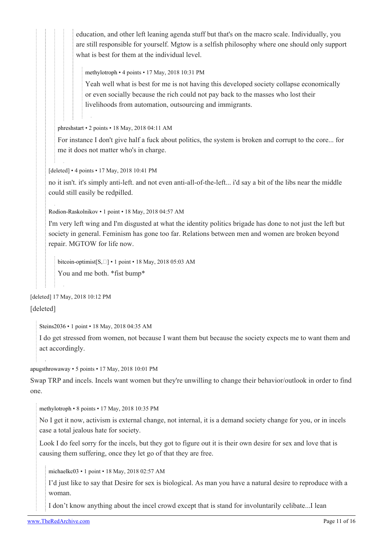education, and other left leaning agenda stuff but that's on the macro scale. Individually, you are still responsible for yourself. Mgtow is a selfish philosophy where one should only support what is best for them at the individual level.

[methylotroph](https://old.reddit.com/user/methylotroph) • 4 points • 17 May, 2018 10:31 PM

Yeah well what is best for me is not having this developed society collapse economically or even socially because the rich could not pay back to the masses who lost their livelihoods from automation, outsourcing and immigrants.

[phreshstart](https://old.reddit.com/user/phreshstart) • 2 points • 18 May, 2018 04:11 AM

For instance I don't give half a fuck about politics, the system is broken and corrupt to the core... for me it does not matter who's in charge.

[deleted] • 4 points • 17 May, 2018 10:41 PM

no it isn't. it's simply anti-left. and not even anti-all-of-the-left... i'd say a bit of the libs near the middle could still easily be redpilled.

[Rodion-Raskolnikov](https://old.reddit.com/user/Rodion-Raskolnikov) • 1 point • 18 May, 2018 04:57 AM

I'm very left wing and I'm disgusted at what the identity politics brigade has done to not just the left but society in general. Feminism has gone too far. Relations between men and women are broken beyond repair. MGTOW for life now.

bitcoin-optimist $[S, \Box] \cdot 1$  $[S, \Box] \cdot 1$  $[S, \Box] \cdot 1$  point  $\cdot 18$  May, 2018 05:03 AM You and me both. \*fist bump\*

[deleted] 17 May, 2018 10:12 PM [deleted]

[Steins2036](https://old.reddit.com/user/Steins2036) • 1 point • 18 May, 2018 04:35 AM

I do get stressed from women, not because I want them but because the society expects me to want them and act accordingly.

[apugsthrowaway](https://old.reddit.com/user/apugsthrowaway) • 5 points • 17 May, 2018 10:01 PM

Swap TRP and incels. Incels want women but they're unwilling to change their behavior/outlook in order to find one.

[methylotroph](https://old.reddit.com/user/methylotroph) • 8 points • 17 May, 2018 10:35 PM

No I get it now, activism is external change, not internal, it is a demand society change for you, or in incels case a total jealous hate for society.

Look I do feel sorry for the incels, but they got to figure out it is their own desire for sex and love that is causing them suffering, once they let go of that they are free.

[michaelkc03](https://old.reddit.com/user/michaelkc03) • 1 point • 18 May, 2018 02:57 AM

I'd just like to say that Desire for sex is biological. As man you have a natural desire to reproduce with a woman.

I don't know anything about the incel crowd except that is stand for involuntarily celibate...I lean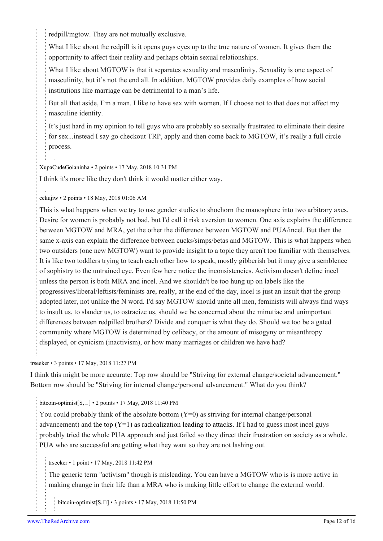redpill/mgtow. They are not mutually exclusive.

What I like about the redpill is it opens guys eyes up to the true nature of women. It gives them the opportunity to affect their reality and perhaps obtain sexual relationships.

What I like about MGTOW is that it separates sexuality and masculinity. Sexuality is one aspect of masculinity, but it's not the end all. In addition, MGTOW provides daily examples of how social institutions like marriage can be detrimental to a man's life.

But all that aside, I'm a man. I like to have sex with women. If I choose not to that does not affect my masculine identity.

It's just hard in my opinion to tell guys who are probably so sexually frustrated to eliminate their desire for sex...instead I say go checkout TRP, apply and then come back to MGTOW, it's really a full circle process.

[XupaCudeGoianinha](https://old.reddit.com/user/XupaCudeGoianinha) • 2 points • 17 May, 2018 10:31 PM

I think it's more like they don't think it would matter either way.

[cekujiw](https://old.reddit.com/user/cekujiw) • 2 points • 18 May, 2018 01:06 AM

This is what happens when we try to use gender studies to shoehorn the manosphere into two arbitrary axes. Desire for women is probably not bad, but I'd call it risk aversion to women. One axis explains the difference between MGTOW and MRA, yet the other the difference between MGTOW and PUA/incel. But then the same x-axis can explain the difference between cucks/simps/betas and MGTOW. This is what happens when two outsiders (one new MGTOW) want to provide insight to a topic they aren't too familiar with themselves. It is like two toddlers trying to teach each other how to speak, mostly gibberish but it may give a semblence of sophistry to the untrained eye. Even few here notice the inconsistencies. Activism doesn't define incel unless the person is both MRA and incel. And we shouldn't be too hung up on labels like the progressives/liberal/leftists/feminists are, really, at the end of the day, incel is just an insult that the group adopted later, not unlike the N word. I'd say MGTOW should unite all men, feminists will always find ways to insult us, to slander us, to ostracize us, should we be concerned about the minutiae and unimportant differences between redpilled brothers? Divide and conquer is what they do. Should we too be a gated community where MGTOW is determined by celibacy, or the amount of misogyny or misanthropy displayed, or cynicism (inactivism), or how many marriages or children we have had?

[trseeker](https://old.reddit.com/user/trseeker) • 3 points • 17 May, 2018 11:27 PM

I think this might be more accurate: Top row should be "Striving for external change/societal advancement." Bottom row should be "Striving for internal change/personal advancement." What do you think?

[bitcoin-optimist](https://old.reddit.com/user/bitcoin-optimist) $[S, \Box] \cdot 2$  $[S, \Box] \cdot 2$  points  $\cdot 17$  May, 2018 11:40 PM

You could probably think of the absolute bottom  $(Y=0)$  as striving for internal change/personal advancement) and the top  $(Y=1)$  as radicalization leading to attacks. If I had to guess most incel guys probably tried the whole PUA approach and just failed so they direct their frustration on society as a whole. PUA who are successful are getting what they want so they are not lashing out.

[trseeker](https://old.reddit.com/user/trseeker) • 1 point • 17 May, 2018 11:42 PM

The generic term "activism" though is misleading. You can have a MGTOW who is is more active in making change in their life than a MRA who is making little effort to change the external world.

bitcoin-optimist $[S, \Box]$  $[S, \Box]$  $[S, \Box]$  • 3 points • 17 May, 2018 11:50 PM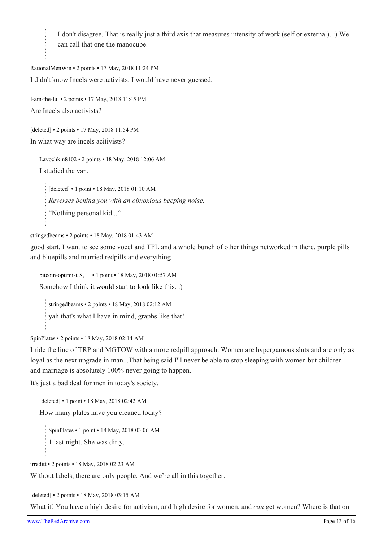I don't disagree. That is really just a third axis that measures intensity of work (self or external). :) We can call that one the manocube.

[RationalMenWin](https://old.reddit.com/user/RationalMenWin) • 2 points • 17 May, 2018 11:24 PM I didn't know Incels were activists. I would have never guessed.

[I-am-the-lul](https://old.reddit.com/user/I-am-the-lul) • 2 points • 17 May, 2018 11:45 PM Are Incels also activists?

[deleted] • 2 points • 17 May, 2018 11:54 PM In what way are incels acitivists?

[Lavochkin8102](https://old.reddit.com/user/Lavochkin8102) • 2 points • 18 May, 2018 12:06 AM I studied the van.

[deleted] • 1 point • 18 May, 2018 01:10 AM *Reverses behind you with an obnoxious beeping noise.* "Nothing personal kid..."

[stringedbeams](https://old.reddit.com/user/stringedbeams) • 2 points • 18 May, 2018 01:43 AM

good start, I want to see some vocel and TFL and a whole bunch of other things networked in there, purple pills and bluepills and married redpills and everything

[bitcoin-optimist](https://old.reddit.com/user/bitcoin-optimist) $[S, \Box] \cdot 1$  $[S, \Box] \cdot 1$  point  $\cdot 18$  May, 2018 01:57 AM Somehow I think [it would start to look like this.](https://i.imgur.com/UFhcIN7.gif) :)

[stringedbeams](https://old.reddit.com/user/stringedbeams) • 2 points • 18 May, 2018 02:12 AM yah that's what I have in mind, graphs like that!

[SpinPlates](https://old.reddit.com/user/SpinPlates) • 2 points • 18 May, 2018 02:14 AM

I ride the line of TRP and MGTOW with a more redpill approach. Women are hypergamous sluts and are only as loyal as the next upgrade in man...That being said I'll never be able to stop sleeping with women but children and marriage is absolutely 100% never going to happen.

It's just a bad deal for men in today's society.

[deleted] • 1 point • 18 May, 2018 02:42 AM How many plates have you cleaned today?

[SpinPlates](https://old.reddit.com/user/SpinPlates) • 1 point • 18 May, 2018 03:06 AM

1 last night. She was dirty.

[irreditt](https://old.reddit.com/user/irreditt) • 2 points • 18 May, 2018 02:23 AM

Without labels, there are only people. And we're all in this together.

[deleted] • 2 points • 18 May, 2018 03:15 AM

What if: You have a high desire for activism, and high desire for women, and *can* get women? Where is that on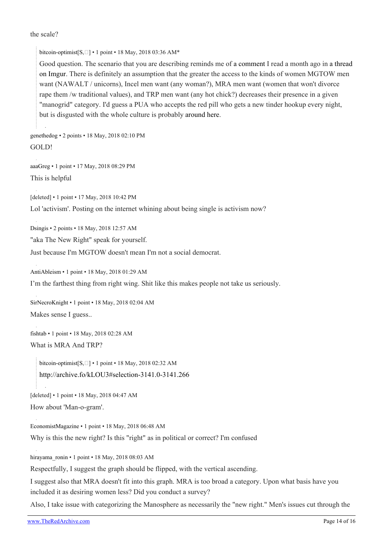#### the scale?

[bitcoin-optimist](https://old.reddit.com/user/bitcoin-optimist) $[S, \Box] \cdot 1$  $[S, \Box] \cdot 1$  point  $\cdot 18$  May, 2018 03:36 AM\*

Good question. The scenario that you are describing reminds me of [a comment](https://imgur.com/gallery/WnWfv/comment/1263098821/1) I read a month ago in [a thread](https://imgur.com/gallery/WnWfv/comment/1263043049/1) [on Imgur](https://imgur.com/gallery/WnWfv/comment/1263043049/1). There is definitely an assumption that the greater the access to the kinds of women MGTOW men want (NAWALT / unicorns), Incel men want (any woman?), MRA men want (women that won't divorce rape them /w traditional values), and TRP men want (any hot chick?) decreases their presence in a given "manogrid" category. I'd guess a PUA who accepts the red pill who gets a new tinder hookup every night, but is disgusted with the whole culture is probably [around here.](https://i.imgur.com/hjUNGDT.png)

[genethedog](https://old.reddit.com/user/genethedog) • 2 points • 18 May, 2018 02:10 PM GOLD!

[aaaGreg](https://old.reddit.com/user/aaaGreg) • 1 point • 17 May, 2018 08:29 PM This is helpful

[deleted] • 1 point • 17 May, 2018 10:42 PM

Lol 'activism'. Posting on the internet whining about being single is activism now?

[Dsingis](https://old.reddit.com/user/Dsingis) • 2 points • 18 May, 2018 12:57 AM

"aka The New Right" speak for yourself.

Just because I'm MGTOW doesn't mean I'm not a social democrat.

[AntiAbleism](https://old.reddit.com/user/AntiAbleism) • 1 point • 18 May, 2018 01:29 AM

I'm the farthest thing from right wing. Shit like this makes people not take us seriously.

[SirNecroKnight](https://old.reddit.com/user/SirNecroKnight) • 1 point • 18 May, 2018 02:04 AM Makes sense I guess..

[fishtab](https://old.reddit.com/user/fishtab) • 1 point • 18 May, 2018 02:28 AM What is MRA And TRP?

[bitcoin-optimist](https://old.reddit.com/user/bitcoin-optimist) $[S, \Box] \cdot 1$  $[S, \Box] \cdot 1$  point  $\cdot 18$  May, 2018 02:32 AM <http://archive.fo/kLOU3#selection-3141.0-3141.266>

[deleted] • 1 point • 18 May, 2018 04:47 AM

```
How about 'Man-o-gram'.
```
[EconomistMagazine](https://old.reddit.com/user/EconomistMagazine) • 1 point • 18 May, 2018 06:48 AM Why is this the new right? Is this "right" as in political or correct? I'm confused

[hirayama\\_ronin](https://old.reddit.com/user/hirayama_ronin) • 1 point • 18 May, 2018 08:03 AM

Respectfully, I suggest the graph should be flipped, with the vertical ascending.

I suggest also that MRA doesn't fit into this graph. MRA is too broad a category. Upon what basis have you included it as desiring women less? Did you conduct a survey?

Also, I take issue with categorizing the Manosphere as necessarily the "new right." Men's issues cut through the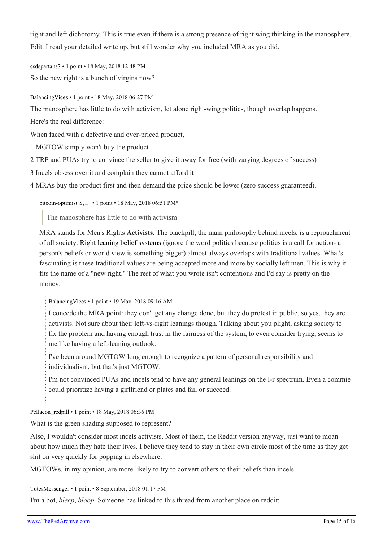right and left dichotomy. This is true even if there is a strong presence of right wing thinking in the manosphere. Edit. I read your detailed write up, but still wonder why you included MRA as you did.

[csdspartans7](https://old.reddit.com/user/csdspartans7) • 1 point • 18 May, 2018 12:48 PM So the new right is a bunch of virgins now?

[BalancingVices](https://old.reddit.com/user/BalancingVices) • 1 point • 18 May, 2018 06:27 PM

The manosphere has little to do with activism, let alone right-wing politics, though overlap happens.

Here's the real difference:

When faced with a defective and over-priced product,

1 MGTOW simply won't buy the product

2 TRP and PUAs try to convince the seller to give it away for free (with varying degrees of success)

3 Incels obsess over it and complain they cannot afford it

4 MRAs buy the product first and then demand the price should be lower (zero success guaranteed).

[bitcoin-optimist](https://old.reddit.com/user/bitcoin-optimist) $[S, \Box] \cdot 1$  $[S, \Box] \cdot 1$  point  $\cdot 18$  May, 2018 06:51 PM\*

The manosphere has little to do with activism

MRA stands for Men's Rights **Activists**. The blackpill, the main philosophy behind incels, is a reproachment of all society. [Right leaning belief systems](https://www.reddit.com/r/MGTOW/comments/8k7g55/the_manosphere_in_a_single_graphic/dz5pz0k/) (ignore the word politics because politics is a call for action- a person's beliefs or world view is something bigger) almost always overlaps with traditional values. What's fascinating is these traditional values are being accepted more and more by socially left men. This is why it fits the name of a "new right." The rest of what you wrote isn't contentious and I'd say is pretty on the money.

[BalancingVices](https://old.reddit.com/user/BalancingVices) • 1 point • 19 May, 2018 09:16 AM

I concede the MRA point: they don't get any change done, but they do protest in public, so yes, they are activists. Not sure about their left-vs-right leanings though. Talking about you plight, asking society to fix the problem and having enough trust in the fairness of the system, to even consider trying, seems to me like having a left-leaning outlook.

I've been around MGTOW long enough to recognize a pattern of personal responsibility and individualism, but that's just MGTOW.

I'm not convinced PUAs and incels tend to have any general leanings on the l-r spectrum. Even a commie could prioritize having a girlfriend or plates and fail or succeed.

Pellaeon redpill • 1 point • 18 May, 2018 06:36 PM

What is the green shading supposed to represent?

Also, I wouldn't consider most incels activists. Most of them, the Reddit version anyway, just want to moan about how much they hate their lives. I believe they tend to stay in their own circle most of the time as they get shit on very quickly for popping in elsewhere.

MGTOWs, in my opinion, are more likely to try to convert others to their beliefs than incels.

[TotesMessenger](https://old.reddit.com/user/TotesMessenger) • 1 point • 8 September, 2018 01:17 PM

I'm a bot, *bleep*, *bloop*. Someone has linked to this thread from another place on reddit: